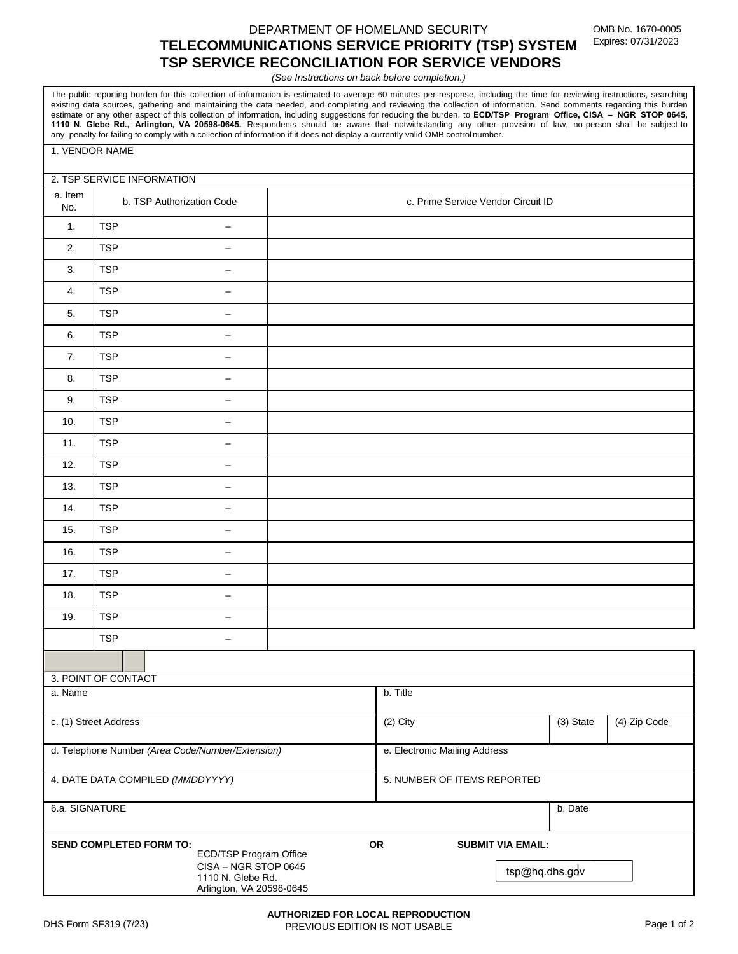# DEPARTMENT OF HOMELAND SECURITY **TELECOMMUNICATIONS SERVICE PRIORITY (TSP) SYSTEM TSP SERVICE RECONCILIATION FOR SERVICE VENDORS**

*(See Instructions on back before completion.)*

The public reporting burden for this collection of information is estimated to average 60 minutes per response, including the time for reviewing instructions, searching existing data sources, gathering and maintaining the data needed, and completing and reviewing the collection of information. Send comments regarding this burden estimate or any other aspect of this collection of information, including suggestions for reducing the burden, to **ECD/TSP Program Office, CISA – NGR STOP 0645, 1110 N. Glebe Rd., Arlington, VA 20598-0645.** Respondents should be aware that notwithstanding any other provision of law, no person shall be subject to any penalty for failing to comply with a collection of information if it does not display a currently valid OMB control number.

#### 1. VENDOR NAME

#### 2. TSP SERVICE INFORMATION

| a. Item<br>No.                                   | b. TSP Authorization Code              |  | c. Prime Service Vendor Circuit ID |           |              |  |
|--------------------------------------------------|----------------------------------------|--|------------------------------------|-----------|--------------|--|
| 1.                                               | <b>TSP</b><br>$\qquad \qquad -$        |  |                                    |           |              |  |
| 2.                                               | <b>TSP</b><br>$\overline{\phantom{m}}$ |  |                                    |           |              |  |
| 3.                                               | <b>TSP</b><br>$\qquad \qquad -$        |  |                                    |           |              |  |
| 4.                                               | <b>TSP</b><br>$\overline{\phantom{0}}$ |  |                                    |           |              |  |
| 5.                                               | <b>TSP</b><br>$\overline{\phantom{m}}$ |  |                                    |           |              |  |
| 6.                                               | <b>TSP</b><br>$\overline{\phantom{m}}$ |  |                                    |           |              |  |
| 7.                                               | <b>TSP</b><br>$\overline{\phantom{m}}$ |  |                                    |           |              |  |
| 8.                                               | <b>TSP</b><br>$\overline{\phantom{0}}$ |  |                                    |           |              |  |
| 9.                                               | <b>TSP</b><br>$\overline{\phantom{m}}$ |  |                                    |           |              |  |
| 10.                                              | <b>TSP</b><br>$\overline{\phantom{m}}$ |  |                                    |           |              |  |
| 11.                                              | <b>TSP</b><br>$\qquad \qquad -$        |  |                                    |           |              |  |
| 12.                                              | <b>TSP</b><br>$\overline{\phantom{0}}$ |  |                                    |           |              |  |
| 13.                                              | <b>TSP</b><br>$\overline{\phantom{m}}$ |  |                                    |           |              |  |
| 14.                                              | <b>TSP</b><br>$\overline{\phantom{0}}$ |  |                                    |           |              |  |
| 15.                                              | <b>TSP</b><br>$\overline{\phantom{m}}$ |  |                                    |           |              |  |
| 16.                                              | <b>TSP</b><br>$\overline{\phantom{m}}$ |  |                                    |           |              |  |
| 17.                                              | <b>TSP</b><br>$\overline{\phantom{0}}$ |  |                                    |           |              |  |
| 18.                                              | <b>TSP</b><br>$\qquad \qquad -$        |  |                                    |           |              |  |
| 19.                                              | <b>TSP</b><br>$\overline{\phantom{m}}$ |  |                                    |           |              |  |
|                                                  | <b>TSP</b><br>$\qquad \qquad -$        |  |                                    |           |              |  |
|                                                  |                                        |  |                                    |           |              |  |
| 3. POINT OF CONTACT                              |                                        |  |                                    |           |              |  |
| a. Name                                          |                                        |  | b. Title                           |           |              |  |
| c. (1) Street Address                            |                                        |  | $(2)$ City                         | (3) State | (4) Zip Code |  |
| d. Telephone Number (Area Code/Number/Extension) |                                        |  | e. Electronic Mailing Address      |           |              |  |
| 4. DATE DATA COMPILED (MMDDYYYY)                 |                                        |  | 5. NUMBER OF ITEMS REPORTED        |           |              |  |
| $\sim$ $\sim$ $\sim$ $\sim$ $\sim$               |                                        |  |                                    |           |              |  |

| 6.a. SIGNATURE                                                                                                                    |    | b. Date                                    |
|-----------------------------------------------------------------------------------------------------------------------------------|----|--------------------------------------------|
| <b>SEND COMPLETED FORM TO:</b><br>ECD/TSP Program Office<br>CISA - NGR STOP 0645<br>1110 N. Glebe Rd.<br>Arlington, VA 20598-0645 | ΟR | <b>SUBMIT VIA EMAIL:</b><br>tsp@hq.dhs.gov |